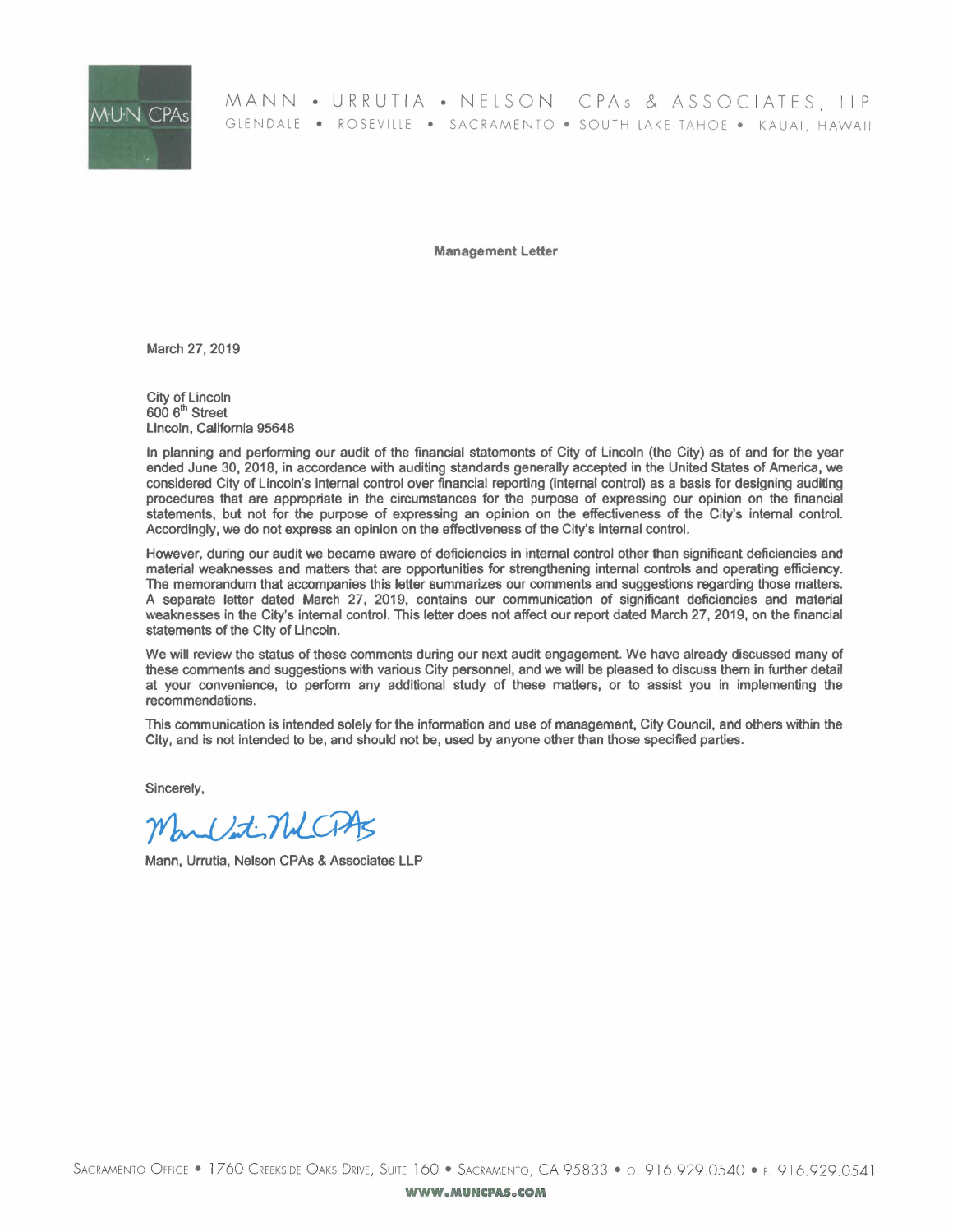

MANN • URRUTIA • NELSON CPAs & ASSOCIATES, LLP GLENDALE • ROSEVILLE • SACRAMENTO • SOUTH LAKE TAHOE • KAUAI, HAWAII

Management Letter

March 27, 2019

City of Lincoln  $6006<sup>th</sup>$  Street Lincoln, California 95648

In planning and performing our audit of the financial statements of City of Lincoln (the City) as of and for the year ended June 30, 2018, in accordance with auditing standards generally accepted in the United States of America, we considered City of Lincoln's internal control over financial reporting (internal control) as a basis for designing auditing procedures that are appropriate in the circumstances for the purpose of expressing our opinion on the financial statements, but not for the purpose of expressing an opinion on the effectiveness of the City's internal control. Accordingly, we do not express an opinion on the effectiveness of the City's internal control.

However, during our audit we became aware of deficiencies in internal control other than significant deficiencies and material weaknesses and matters that are opportunities for strengthening internal controls and operating efficiency. The memorandum that accompanies this letter summarizes our comments and suggestions regarding those matters. A separate letter dated March 27, 2019, contains our communication of significant deficiencies and material weaknesses in the City's internal control. This letter does not affect our report dated March 27, 2019, on the financial statements of the City of Lincoln.

We will review the status of these comments during our next audit engagement. We have already discussed many of these comments and suggestions with various City personnel, and we will be pleased to discuss them in further detail at your convenience, to perfonn any additional study of these matters, or to assist you in implementing the recommendations.

This communication is intended solely for the information and use of management, City Council, and others within the City, and is not intended to be, and should not be, used by anyone other than those specified parties.

Sincerely,

May late NUCPAS

Mann, Urrutia, Nelson CPAs & Associates LLP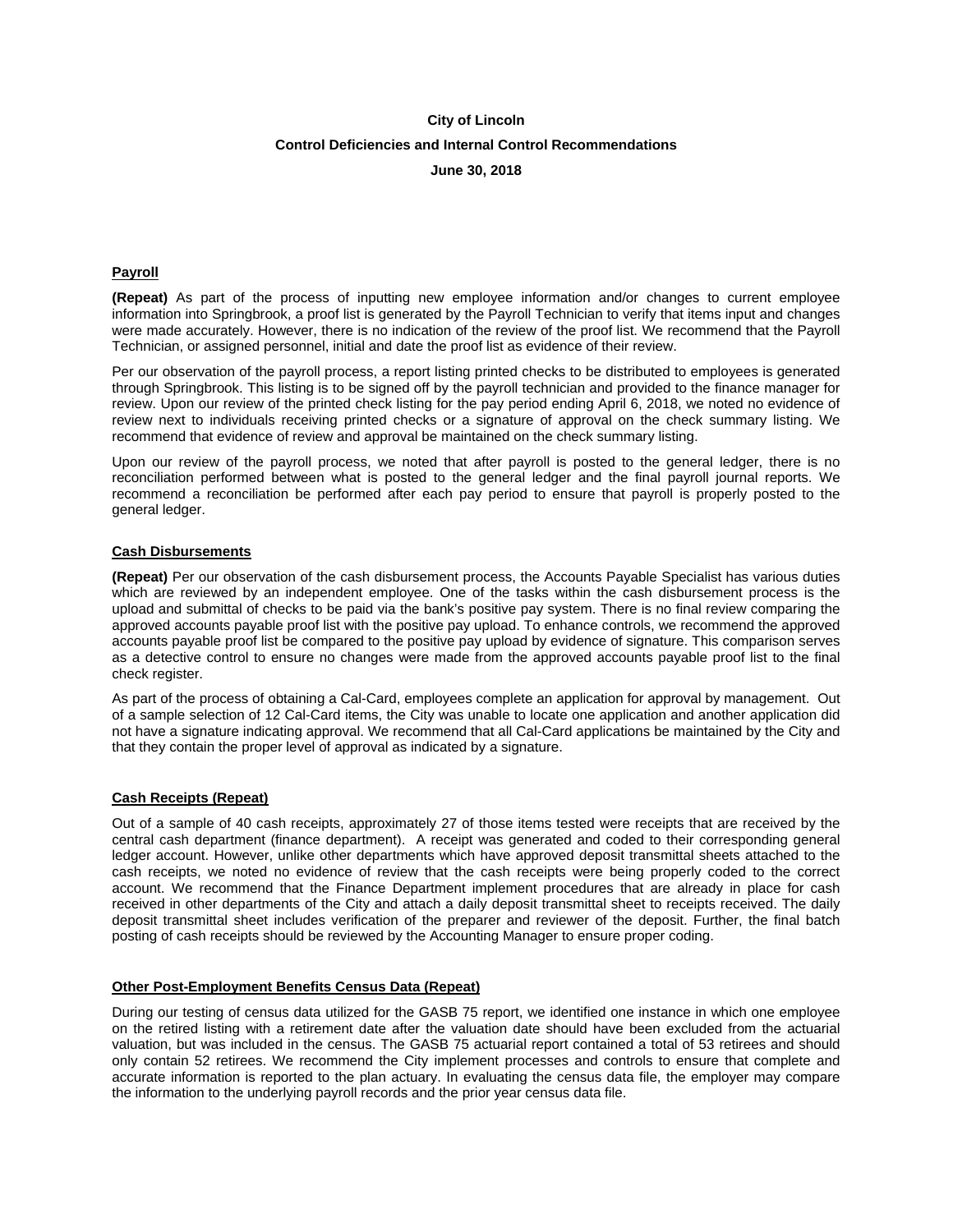## **Control Deficiencies and Internal Control Recommendations**

**June 30, 2018** 

## **Payroll**

**(Repeat)** As part of the process of inputting new employee information and/or changes to current employee information into Springbrook, a proof list is generated by the Payroll Technician to verify that items input and changes were made accurately. However, there is no indication of the review of the proof list. We recommend that the Payroll Technician, or assigned personnel, initial and date the proof list as evidence of their review.

Per our observation of the payroll process, a report listing printed checks to be distributed to employees is generated through Springbrook. This listing is to be signed off by the payroll technician and provided to the finance manager for review. Upon our review of the printed check listing for the pay period ending April 6, 2018, we noted no evidence of review next to individuals receiving printed checks or a signature of approval on the check summary listing. We recommend that evidence of review and approval be maintained on the check summary listing.

Upon our review of the payroll process, we noted that after payroll is posted to the general ledger, there is no reconciliation performed between what is posted to the general ledger and the final payroll journal reports. We recommend a reconciliation be performed after each pay period to ensure that payroll is properly posted to the general ledger.

## **Cash Disbursements**

**(Repeat)** Per our observation of the cash disbursement process, the Accounts Payable Specialist has various duties which are reviewed by an independent employee. One of the tasks within the cash disbursement process is the upload and submittal of checks to be paid via the bank's positive pay system. There is no final review comparing the approved accounts payable proof list with the positive pay upload. To enhance controls, we recommend the approved accounts payable proof list be compared to the positive pay upload by evidence of signature. This comparison serves as a detective control to ensure no changes were made from the approved accounts payable proof list to the final check register.

As part of the process of obtaining a Cal-Card, employees complete an application for approval by management. Out of a sample selection of 12 Cal-Card items, the City was unable to locate one application and another application did not have a signature indicating approval. We recommend that all Cal-Card applications be maintained by the City and that they contain the proper level of approval as indicated by a signature.

### **Cash Receipts (Repeat)**

Out of a sample of 40 cash receipts, approximately 27 of those items tested were receipts that are received by the central cash department (finance department). A receipt was generated and coded to their corresponding general ledger account. However, unlike other departments which have approved deposit transmittal sheets attached to the cash receipts, we noted no evidence of review that the cash receipts were being properly coded to the correct account. We recommend that the Finance Department implement procedures that are already in place for cash received in other departments of the City and attach a daily deposit transmittal sheet to receipts received. The daily deposit transmittal sheet includes verification of the preparer and reviewer of the deposit. Further, the final batch posting of cash receipts should be reviewed by the Accounting Manager to ensure proper coding.

## **Other Post-Employment Benefits Census Data (Repeat)**

During our testing of census data utilized for the GASB 75 report, we identified one instance in which one employee on the retired listing with a retirement date after the valuation date should have been excluded from the actuarial valuation, but was included in the census. The GASB 75 actuarial report contained a total of 53 retirees and should only contain 52 retirees. We recommend the City implement processes and controls to ensure that complete and accurate information is reported to the plan actuary. In evaluating the census data file, the employer may compare the information to the underlying payroll records and the prior year census data file.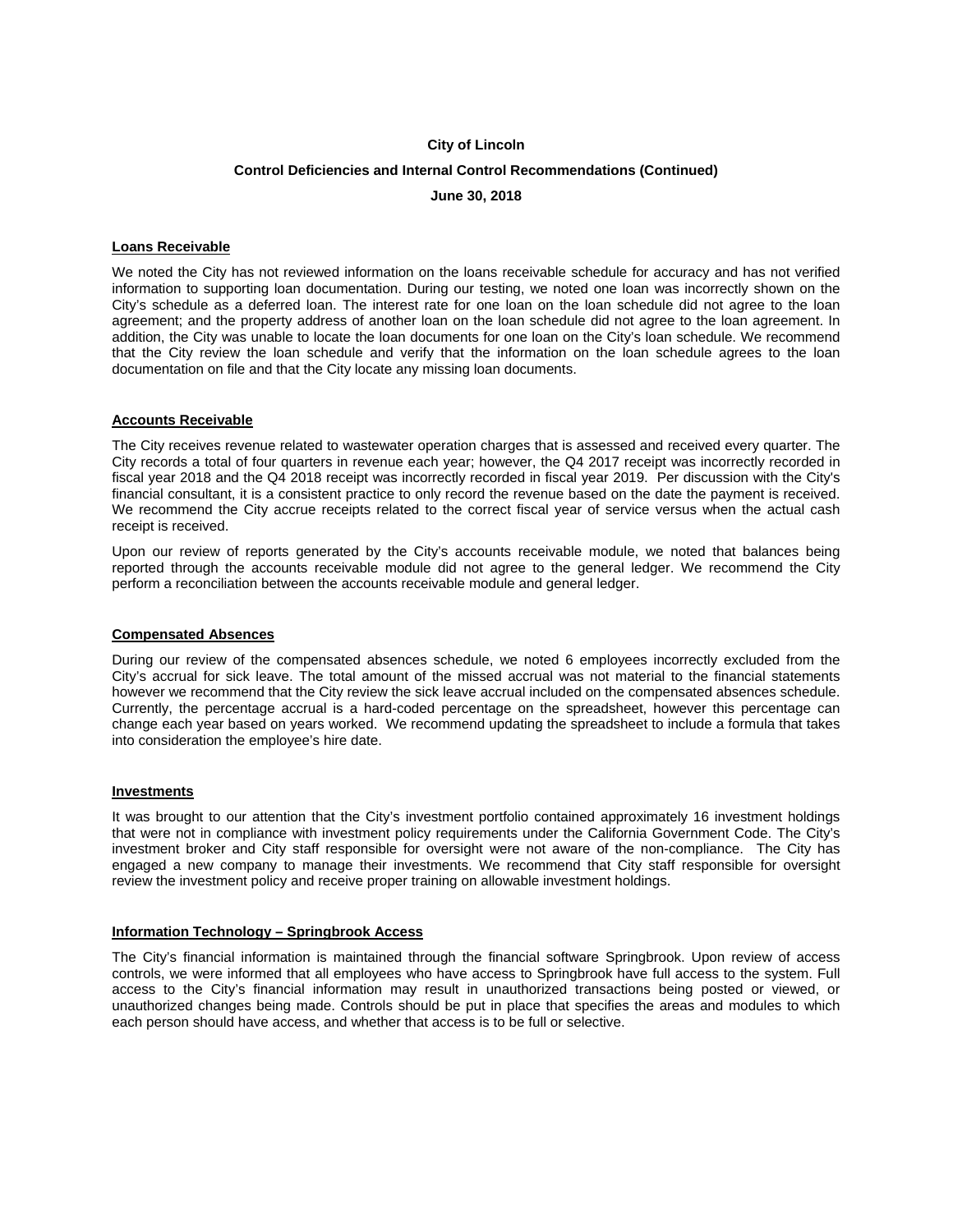# **City of Lincoln Control Deficiencies and Internal Control Recommendations (Continued) June 30, 2018**

## **Loans Receivable**

We noted the City has not reviewed information on the loans receivable schedule for accuracy and has not verified information to supporting loan documentation. During our testing, we noted one loan was incorrectly shown on the City's schedule as a deferred loan. The interest rate for one loan on the loan schedule did not agree to the loan agreement; and the property address of another loan on the loan schedule did not agree to the loan agreement. In addition, the City was unable to locate the loan documents for one loan on the City's loan schedule. We recommend that the City review the loan schedule and verify that the information on the loan schedule agrees to the loan documentation on file and that the City locate any missing loan documents.

## **Accounts Receivable**

The City receives revenue related to wastewater operation charges that is assessed and received every quarter. The City records a total of four quarters in revenue each year; however, the Q4 2017 receipt was incorrectly recorded in fiscal year 2018 and the Q4 2018 receipt was incorrectly recorded in fiscal year 2019. Per discussion with the City's financial consultant, it is a consistent practice to only record the revenue based on the date the payment is received. We recommend the City accrue receipts related to the correct fiscal year of service versus when the actual cash receipt is received.

Upon our review of reports generated by the City's accounts receivable module, we noted that balances being reported through the accounts receivable module did not agree to the general ledger. We recommend the City perform a reconciliation between the accounts receivable module and general ledger.

### **Compensated Absences**

During our review of the compensated absences schedule, we noted 6 employees incorrectly excluded from the City's accrual for sick leave. The total amount of the missed accrual was not material to the financial statements however we recommend that the City review the sick leave accrual included on the compensated absences schedule. Currently, the percentage accrual is a hard-coded percentage on the spreadsheet, however this percentage can change each year based on years worked. We recommend updating the spreadsheet to include a formula that takes into consideration the employee's hire date.

### **Investments**

It was brought to our attention that the City's investment portfolio contained approximately 16 investment holdings that were not in compliance with investment policy requirements under the California Government Code. The City's investment broker and City staff responsible for oversight were not aware of the non-compliance. The City has engaged a new company to manage their investments. We recommend that City staff responsible for oversight review the investment policy and receive proper training on allowable investment holdings.

## **Information Technology – Springbrook Access**

The City's financial information is maintained through the financial software Springbrook. Upon review of access controls, we were informed that all employees who have access to Springbrook have full access to the system. Full access to the City's financial information may result in unauthorized transactions being posted or viewed, or unauthorized changes being made. Controls should be put in place that specifies the areas and modules to which each person should have access, and whether that access is to be full or selective.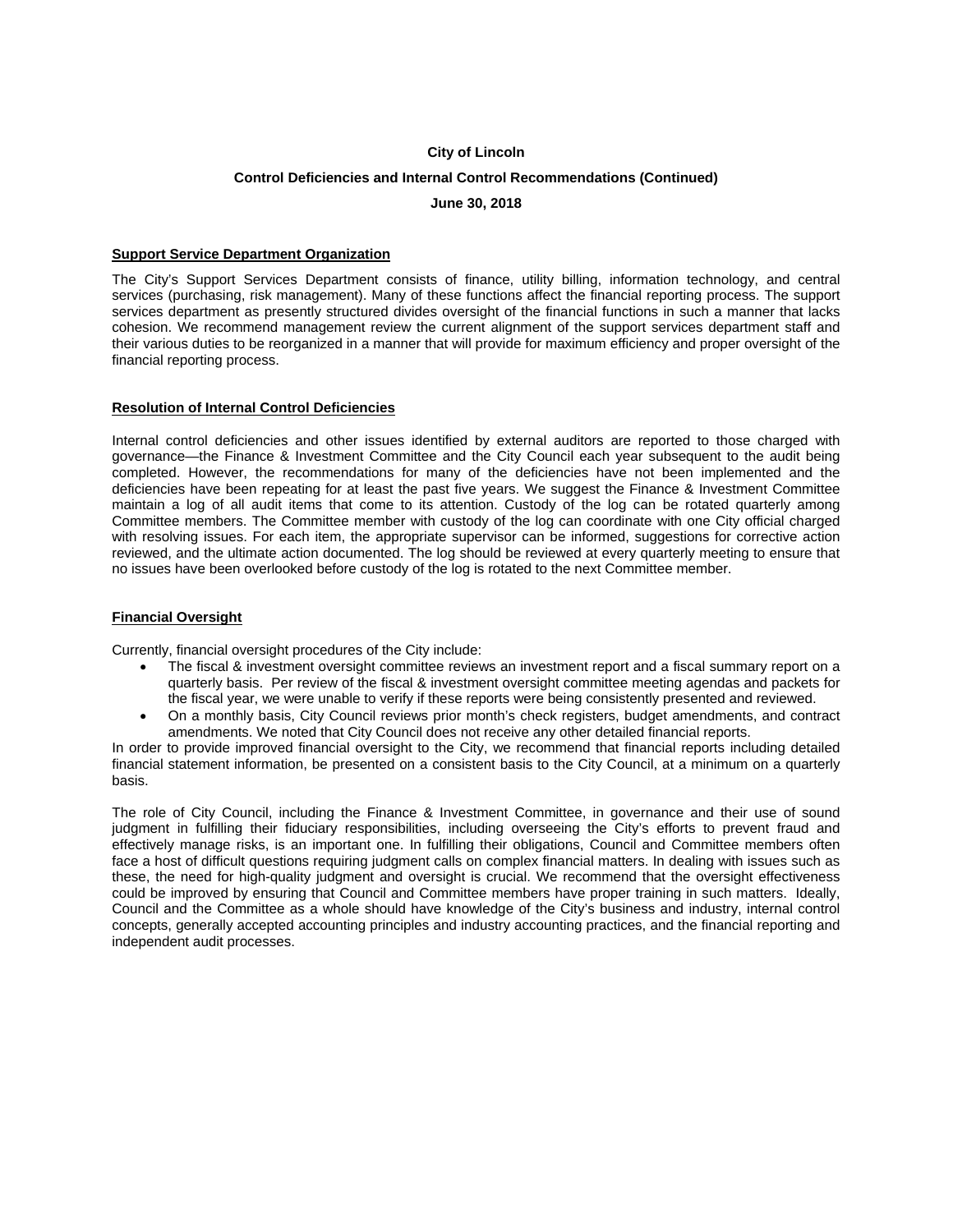## **Control Deficiencies and Internal Control Recommendations (Continued)**

**June 30, 2018** 

### **Support Service Department Organization**

The City's Support Services Department consists of finance, utility billing, information technology, and central services (purchasing, risk management). Many of these functions affect the financial reporting process. The support services department as presently structured divides oversight of the financial functions in such a manner that lacks cohesion. We recommend management review the current alignment of the support services department staff and their various duties to be reorganized in a manner that will provide for maximum efficiency and proper oversight of the financial reporting process.

## **Resolution of Internal Control Deficiencies**

Internal control deficiencies and other issues identified by external auditors are reported to those charged with governance—the Finance & Investment Committee and the City Council each year subsequent to the audit being completed. However, the recommendations for many of the deficiencies have not been implemented and the deficiencies have been repeating for at least the past five years. We suggest the Finance & Investment Committee maintain a log of all audit items that come to its attention. Custody of the log can be rotated quarterly among Committee members. The Committee member with custody of the log can coordinate with one City official charged with resolving issues. For each item, the appropriate supervisor can be informed, suggestions for corrective action reviewed, and the ultimate action documented. The log should be reviewed at every quarterly meeting to ensure that no issues have been overlooked before custody of the log is rotated to the next Committee member.

## **Financial Oversight**

Currently, financial oversight procedures of the City include:

- The fiscal & investment oversight committee reviews an investment report and a fiscal summary report on a quarterly basis. Per review of the fiscal & investment oversight committee meeting agendas and packets for the fiscal year, we were unable to verify if these reports were being consistently presented and reviewed.
- On a monthly basis, City Council reviews prior month's check registers, budget amendments, and contract amendments. We noted that City Council does not receive any other detailed financial reports.

In order to provide improved financial oversight to the City, we recommend that financial reports including detailed financial statement information, be presented on a consistent basis to the City Council, at a minimum on a quarterly basis.

The role of City Council, including the Finance & Investment Committee, in governance and their use of sound judgment in fulfilling their fiduciary responsibilities, including overseeing the City's efforts to prevent fraud and effectively manage risks, is an important one. In fulfilling their obligations, Council and Committee members often face a host of difficult questions requiring judgment calls on complex financial matters. In dealing with issues such as these, the need for high-quality judgment and oversight is crucial. We recommend that the oversight effectiveness could be improved by ensuring that Council and Committee members have proper training in such matters. Ideally, Council and the Committee as a whole should have knowledge of the City's business and industry, internal control concepts, generally accepted accounting principles and industry accounting practices, and the financial reporting and independent audit processes.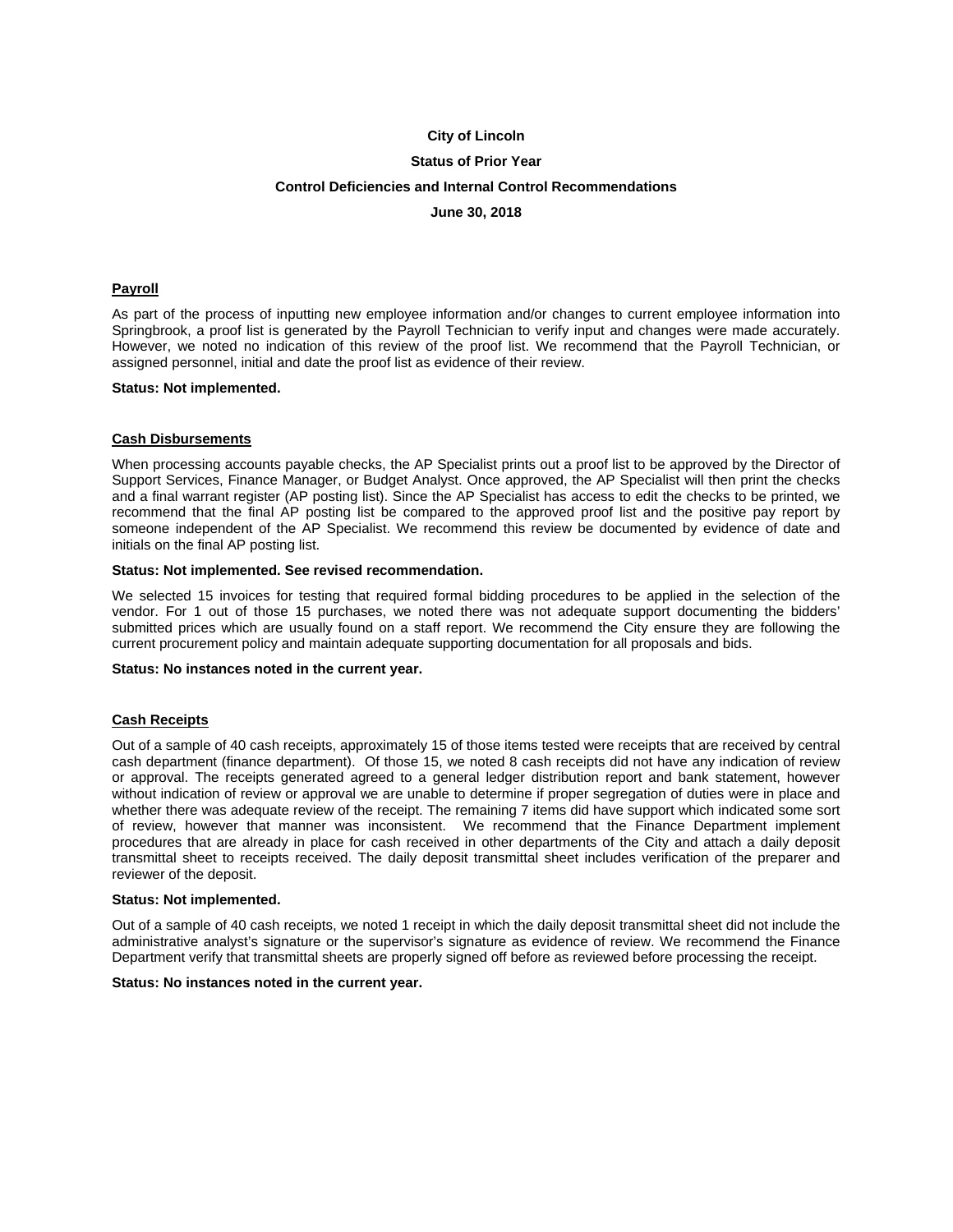### **Status of Prior Year**

#### **Control Deficiencies and Internal Control Recommendations**

**June 30, 2018** 

#### **Payroll**

As part of the process of inputting new employee information and/or changes to current employee information into Springbrook, a proof list is generated by the Payroll Technician to verify input and changes were made accurately. However, we noted no indication of this review of the proof list. We recommend that the Payroll Technician, or assigned personnel, initial and date the proof list as evidence of their review.

#### **Status: Not implemented.**

#### **Cash Disbursements**

When processing accounts payable checks, the AP Specialist prints out a proof list to be approved by the Director of Support Services, Finance Manager, or Budget Analyst. Once approved, the AP Specialist will then print the checks and a final warrant register (AP posting list). Since the AP Specialist has access to edit the checks to be printed, we recommend that the final AP posting list be compared to the approved proof list and the positive pay report by someone independent of the AP Specialist. We recommend this review be documented by evidence of date and initials on the final AP posting list.

#### **Status: Not implemented. See revised recommendation.**

We selected 15 invoices for testing that required formal bidding procedures to be applied in the selection of the vendor. For 1 out of those 15 purchases, we noted there was not adequate support documenting the bidders' submitted prices which are usually found on a staff report. We recommend the City ensure they are following the current procurement policy and maintain adequate supporting documentation for all proposals and bids.

#### **Status: No instances noted in the current year.**

#### **Cash Receipts**

Out of a sample of 40 cash receipts, approximately 15 of those items tested were receipts that are received by central cash department (finance department). Of those 15, we noted 8 cash receipts did not have any indication of review or approval. The receipts generated agreed to a general ledger distribution report and bank statement, however without indication of review or approval we are unable to determine if proper segregation of duties were in place and whether there was adequate review of the receipt. The remaining 7 items did have support which indicated some sort of review, however that manner was inconsistent. We recommend that the Finance Department implement procedures that are already in place for cash received in other departments of the City and attach a daily deposit transmittal sheet to receipts received. The daily deposit transmittal sheet includes verification of the preparer and reviewer of the deposit.

#### **Status: Not implemented.**

Out of a sample of 40 cash receipts, we noted 1 receipt in which the daily deposit transmittal sheet did not include the administrative analyst's signature or the supervisor's signature as evidence of review. We recommend the Finance Department verify that transmittal sheets are properly signed off before as reviewed before processing the receipt.

#### **Status: No instances noted in the current year.**